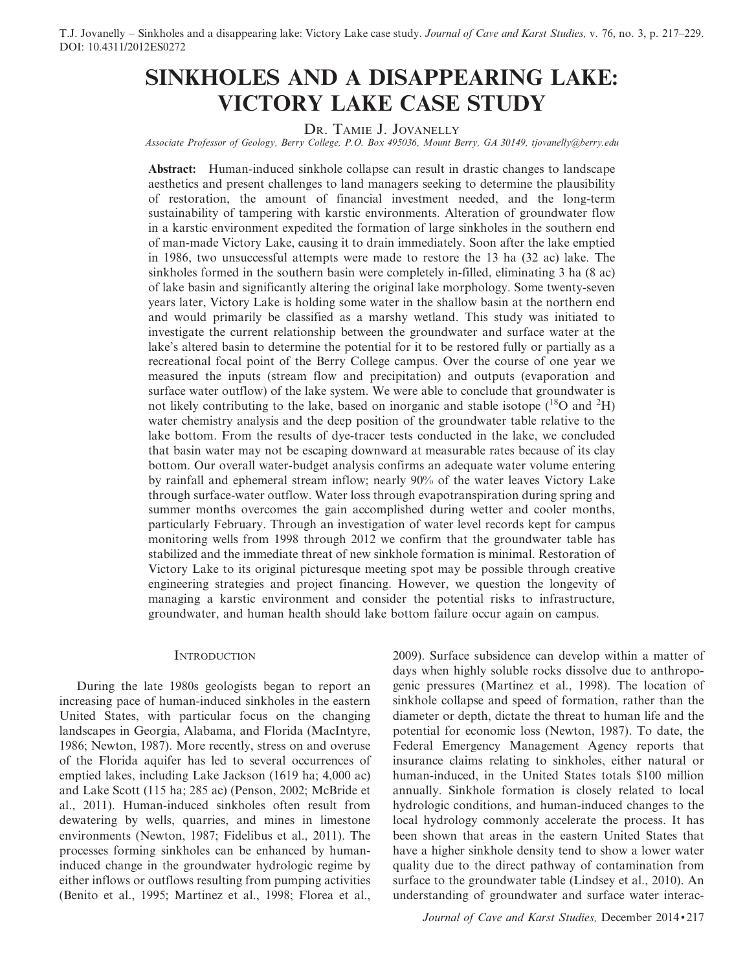# SINKHOLES AND A DISAPPEARING LAKE: VICTORY LAKE CASE STUDY

DR. TAMIE J. JOVANELLY

Associate Professor of Geology, Berry College, P.O. Box 495036, Mount Berry, GA 30149, tjovanelly@berry.edu

Abstract: Human-induced sinkhole collapse can result in drastic changes to landscape aesthetics and present challenges to land managers seeking to determine the plausibility of restoration, the amount of financial investment needed, and the long-term sustainability of tampering with karstic environments. Alteration of groundwater flow in a karstic environment expedited the formation of large sinkholes in the southern end of man-made Victory Lake, causing it to drain immediately. Soon after the lake emptied in 1986, two unsuccessful attempts were made to restore the 13 ha (32 ac) lake. The sinkholes formed in the southern basin were completely in-filled, eliminating 3 ha (8 ac) of lake basin and significantly altering the original lake morphology. Some twenty-seven years later, Victory Lake is holding some water in the shallow basin at the northern end and would primarily be classified as a marshy wetland. This study was initiated to investigate the current relationship between the groundwater and surface water at the lake's altered basin to determine the potential for it to be restored fully or partially as a recreational focal point of the Berry College campus. Over the course of one year we measured the inputs (stream flow and precipitation) and outputs (evaporation and surface water outflow) of the lake system. We were able to conclude that groundwater is not likely contributing to the lake, based on inorganic and stable isotope  $(^{18}O$  and  $^2H)$ water chemistry analysis and the deep position of the groundwater table relative to the lake bottom. From the results of dye-tracer tests conducted in the lake, we concluded that basin water may not be escaping downward at measurable rates because of its clay bottom. Our overall water-budget analysis confirms an adequate water volume entering by rainfall and ephemeral stream inflow; nearly 90% of the water leaves Victory Lake through surface-water outflow. Water loss through evapotranspiration during spring and summer months overcomes the gain accomplished during wetter and cooler months, particularly February. Through an investigation of water level records kept for campus monitoring wells from 1998 through 2012 we confirm that the groundwater table has stabilized and the immediate threat of new sinkhole formation is minimal. Restoration of Victory Lake to its original picturesque meeting spot may be possible through creative engineering strategies and project financing. However, we question the longevity of managing a karstic environment and consider the potential risks to infrastructure, groundwater, and human health should lake bottom failure occur again on campus.

## **INTRODUCTION**

During the late 1980s geologists began to report an increasing pace of human-induced sinkholes in the eastern United States, with particular focus on the changing landscapes in Georgia, Alabama, and Florida (MacIntyre, 1986; Newton, 1987). More recently, stress on and overuse of the Florida aquifer has led to several occurrences of emptied lakes, including Lake Jackson (1619 ha; 4,000 ac) and Lake Scott (115 ha; 285 ac) (Penson, 2002; McBride et al., 2011). Human-induced sinkholes often result from dewatering by wells, quarries, and mines in limestone environments (Newton, 1987; Fidelibus et al., 2011). The processes forming sinkholes can be enhanced by humaninduced change in the groundwater hydrologic regime by either inflows or outflows resulting from pumping activities (Benito et al., 1995; Martinez et al., 1998; Florea et al.,

2009). Surface subsidence can develop within a matter of days when highly soluble rocks dissolve due to anthropogenic pressures (Martinez et al., 1998). The location of sinkhole collapse and speed of formation, rather than the diameter or depth, dictate the threat to human life and the potential for economic loss (Newton, 1987). To date, the Federal Emergency Management Agency reports that insurance claims relating to sinkholes, either natural or human-induced, in the United States totals \$100 million annually. Sinkhole formation is closely related to local hydrologic conditions, and human-induced changes to the local hydrology commonly accelerate the process. It has been shown that areas in the eastern United States that have a higher sinkhole density tend to show a lower water quality due to the direct pathway of contamination from surface to the groundwater table (Lindsey et al., 2010). An understanding of groundwater and surface water interac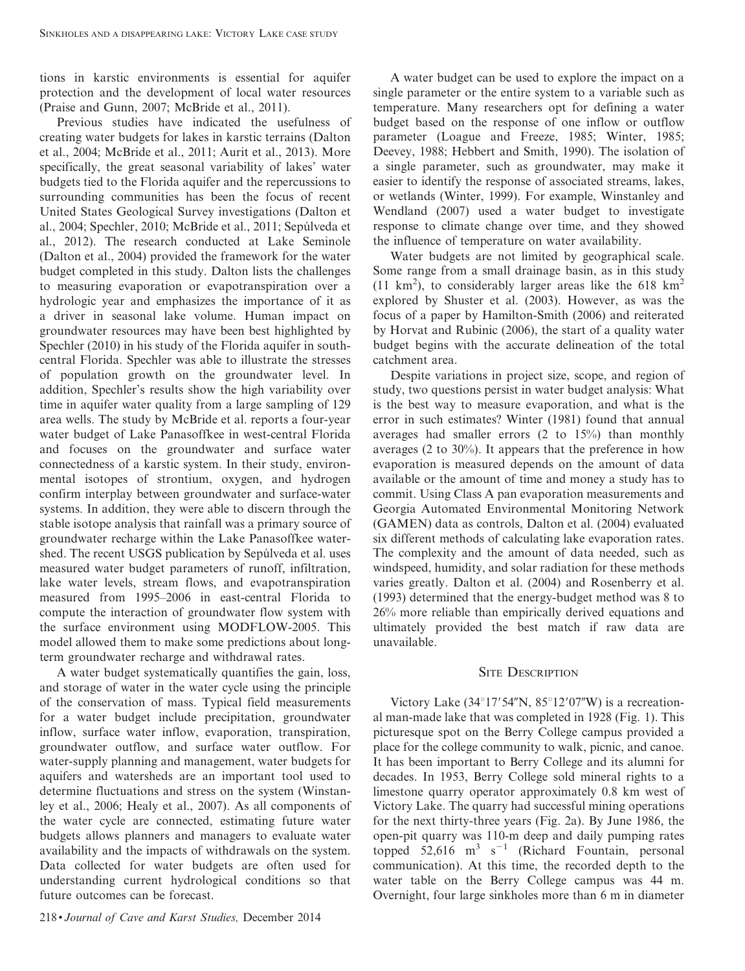tions in karstic environments is essential for aquifer protection and the development of local water resources (Praise and Gunn, 2007; McBride et al., 2011).

Previous studies have indicated the usefulness of creating water budgets for lakes in karstic terrains (Dalton et al., 2004; McBride et al., 2011; Aurit et al., 2013). More specifically, the great seasonal variability of lakes' water budgets tied to the Florida aquifer and the repercussions to surrounding communities has been the focus of recent United States Geological Survey investigations (Dalton et al., 2004; Spechler, 2010; McBride et al., 2011; Sepúlveda et al., 2012). The research conducted at Lake Seminole (Dalton et al., 2004) provided the framework for the water budget completed in this study. Dalton lists the challenges to measuring evaporation or evapotranspiration over a hydrologic year and emphasizes the importance of it as a driver in seasonal lake volume. Human impact on groundwater resources may have been best highlighted by Spechler (2010) in his study of the Florida aquifer in southcentral Florida. Spechler was able to illustrate the stresses of population growth on the groundwater level. In addition, Spechler's results show the high variability over time in aquifer water quality from a large sampling of 129 area wells. The study by McBride et al. reports a four-year water budget of Lake Panasoffkee in west-central Florida and focuses on the groundwater and surface water connectedness of a karstic system. In their study, environmental isotopes of strontium, oxygen, and hydrogen confirm interplay between groundwater and surface-water systems. In addition, they were able to discern through the stable isotope analysis that rainfall was a primary source of groundwater recharge within the Lake Panasoffkee watershed. The recent USGS publication by Sepúlveda et al. uses measured water budget parameters of runoff, infiltration, lake water levels, stream flows, and evapotranspiration measured from 1995–2006 in east-central Florida to compute the interaction of groundwater flow system with the surface environment using MODFLOW-2005. This model allowed them to make some predictions about longterm groundwater recharge and withdrawal rates.

A water budget systematically quantifies the gain, loss, and storage of water in the water cycle using the principle of the conservation of mass. Typical field measurements for a water budget include precipitation, groundwater inflow, surface water inflow, evaporation, transpiration, groundwater outflow, and surface water outflow. For water-supply planning and management, water budgets for aquifers and watersheds are an important tool used to determine fluctuations and stress on the system (Winstanley et al., 2006; Healy et al., 2007). As all components of the water cycle are connected, estimating future water budgets allows planners and managers to evaluate water availability and the impacts of withdrawals on the system. Data collected for water budgets are often used for understanding current hydrological conditions so that future outcomes can be forecast.

218 • Journal of Cave and Karst Studies, December 2014

A water budget can be used to explore the impact on a single parameter or the entire system to a variable such as temperature. Many researchers opt for defining a water budget based on the response of one inflow or outflow parameter (Loague and Freeze, 1985; Winter, 1985; Deevey, 1988; Hebbert and Smith, 1990). The isolation of a single parameter, such as groundwater, may make it easier to identify the response of associated streams, lakes, or wetlands (Winter, 1999). For example, Winstanley and Wendland (2007) used a water budget to investigate response to climate change over time, and they showed the influence of temperature on water availability.

Water budgets are not limited by geographical scale. Some range from a small drainage basin, as in this study  $(11 \text{ km}^2)$ , to considerably larger areas like the 618 km<sup>2</sup> explored by Shuster et al. (2003). However, as was the focus of a paper by Hamilton-Smith (2006) and reiterated by Horvat and Rubinic (2006), the start of a quality water budget begins with the accurate delineation of the total catchment area.

Despite variations in project size, scope, and region of study, two questions persist in water budget analysis: What is the best way to measure evaporation, and what is the error in such estimates? Winter (1981) found that annual averages had smaller errors (2 to 15%) than monthly averages (2 to 30%). It appears that the preference in how evaporation is measured depends on the amount of data available or the amount of time and money a study has to commit. Using Class A pan evaporation measurements and Georgia Automated Environmental Monitoring Network (GAMEN) data as controls, Dalton et al. (2004) evaluated six different methods of calculating lake evaporation rates. The complexity and the amount of data needed, such as windspeed, humidity, and solar radiation for these methods varies greatly. Dalton et al. (2004) and Rosenberry et al. (1993) determined that the energy-budget method was 8 to 26% more reliable than empirically derived equations and ultimately provided the best match if raw data are unavailable.

## **SITE DESCRIPTION**

Victory Lake (34°17′54″N, 85°12′07″W) is a recreational man-made lake that was completed in 1928 (Fig. 1). This picturesque spot on the Berry College campus provided a place for the college community to walk, picnic, and canoe. It has been important to Berry College and its alumni for decades. In 1953, Berry College sold mineral rights to a limestone quarry operator approximately 0.8 km west of Victory Lake. The quarry had successful mining operations for the next thirty-three years (Fig. 2a). By June 1986, the open-pit quarry was 110-m deep and daily pumping rates topped  $52,616$  m<sup>3</sup> s<sup>-1</sup> (Richard Fountain, personal communication). At this time, the recorded depth to the water table on the Berry College campus was 44 m. Overnight, four large sinkholes more than 6 m in diameter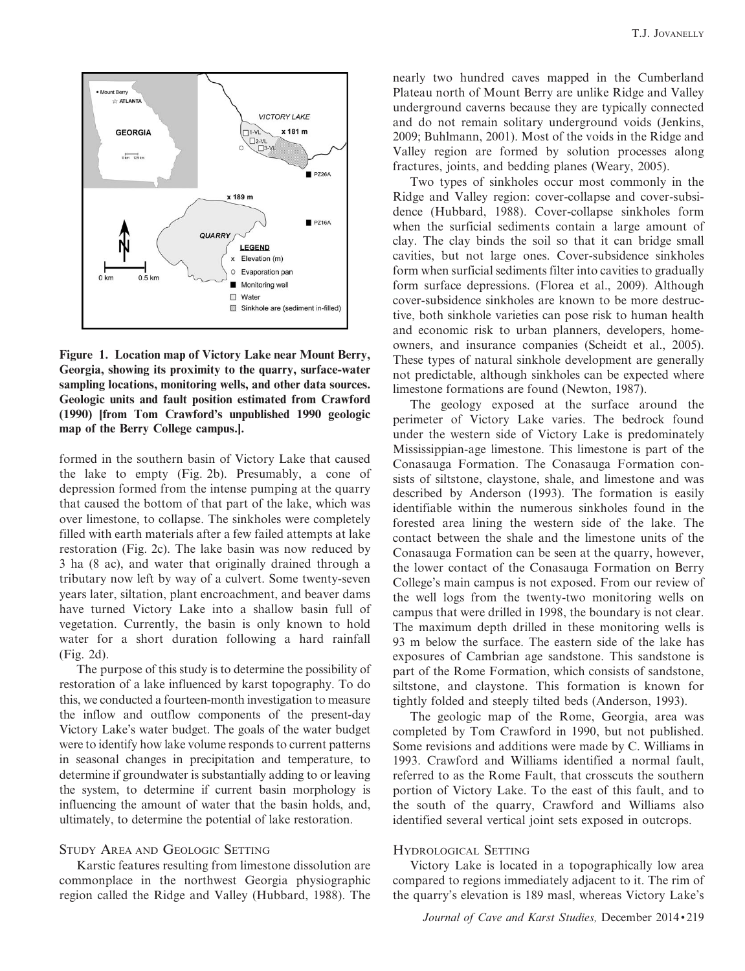

Figure 1. Location map of Victory Lake near Mount Berry, Georgia, showing its proximity to the quarry, surface-water sampling locations, monitoring wells, and other data sources. Geologic units and fault position estimated from Crawford (1990) [from Tom Crawford's unpublished 1990 geologic map of the Berry College campus.].

formed in the southern basin of Victory Lake that caused the lake to empty (Fig. 2b). Presumably, a cone of depression formed from the intense pumping at the quarry that caused the bottom of that part of the lake, which was over limestone, to collapse. The sinkholes were completely filled with earth materials after a few failed attempts at lake restoration (Fig. 2c). The lake basin was now reduced by 3 ha (8 ac), and water that originally drained through a tributary now left by way of a culvert. Some twenty-seven years later, siltation, plant encroachment, and beaver dams have turned Victory Lake into a shallow basin full of vegetation. Currently, the basin is only known to hold water for a short duration following a hard rainfall (Fig. 2d).

The purpose of this study is to determine the possibility of restoration of a lake influenced by karst topography. To do this, we conducted a fourteen-month investigation to measure the inflow and outflow components of the present-day Victory Lake's water budget. The goals of the water budget were to identify how lake volume responds to current patterns in seasonal changes in precipitation and temperature, to determine if groundwater is substantially adding to or leaving the system, to determine if current basin morphology is influencing the amount of water that the basin holds, and, ultimately, to determine the potential of lake restoration.

## STUDY AREA AND GEOLOGIC SETTING

Karstic features resulting from limestone dissolution are commonplace in the northwest Georgia physiographic region called the Ridge and Valley (Hubbard, 1988). The nearly two hundred caves mapped in the Cumberland Plateau north of Mount Berry are unlike Ridge and Valley underground caverns because they are typically connected and do not remain solitary underground voids (Jenkins, 2009; Buhlmann, 2001). Most of the voids in the Ridge and Valley region are formed by solution processes along fractures, joints, and bedding planes (Weary, 2005).

Two types of sinkholes occur most commonly in the Ridge and Valley region: cover-collapse and cover-subsidence (Hubbard, 1988). Cover-collapse sinkholes form when the surficial sediments contain a large amount of clay. The clay binds the soil so that it can bridge small cavities, but not large ones. Cover-subsidence sinkholes form when surficial sediments filter into cavities to gradually form surface depressions. (Florea et al., 2009). Although cover-subsidence sinkholes are known to be more destructive, both sinkhole varieties can pose risk to human health and economic risk to urban planners, developers, homeowners, and insurance companies (Scheidt et al., 2005). These types of natural sinkhole development are generally not predictable, although sinkholes can be expected where limestone formations are found (Newton, 1987).

The geology exposed at the surface around the perimeter of Victory Lake varies. The bedrock found under the western side of Victory Lake is predominately Mississippian-age limestone. This limestone is part of the Conasauga Formation. The Conasauga Formation consists of siltstone, claystone, shale, and limestone and was described by Anderson (1993). The formation is easily identifiable within the numerous sinkholes found in the forested area lining the western side of the lake. The contact between the shale and the limestone units of the Conasauga Formation can be seen at the quarry, however, the lower contact of the Conasauga Formation on Berry College's main campus is not exposed. From our review of the well logs from the twenty-two monitoring wells on campus that were drilled in 1998, the boundary is not clear. The maximum depth drilled in these monitoring wells is 93 m below the surface. The eastern side of the lake has exposures of Cambrian age sandstone. This sandstone is part of the Rome Formation, which consists of sandstone, siltstone, and claystone. This formation is known for tightly folded and steeply tilted beds (Anderson, 1993).

The geologic map of the Rome, Georgia, area was completed by Tom Crawford in 1990, but not published. Some revisions and additions were made by C. Williams in 1993. Crawford and Williams identified a normal fault, referred to as the Rome Fault, that crosscuts the southern portion of Victory Lake. To the east of this fault, and to the south of the quarry, Crawford and Williams also identified several vertical joint sets exposed in outcrops.

### HYDROLOGICAL SETTING

Victory Lake is located in a topographically low area compared to regions immediately adjacent to it. The rim of the quarry's elevation is 189 masl, whereas Victory Lake's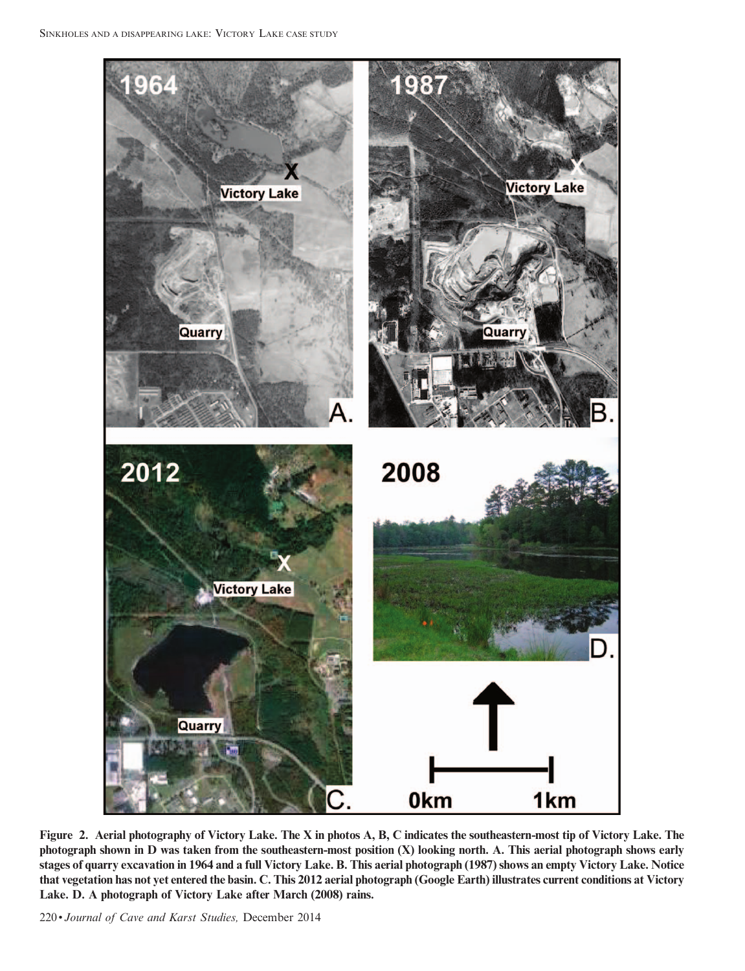

Figure 2. Aerial photography of Victory Lake. The X in photos A, B, C indicates the southeastern-most tip of Victory Lake. The photograph shown in D was taken from the southeastern-most position (X) looking north. A. This aerial photograph shows early stages of quarry excavation in 1964 and a full Victory Lake. B. This aerial photograph (1987) shows an empty Victory Lake. Notice that vegetation has not yet entered the basin. C. This 2012 aerial photograph (Google Earth) illustrates current conditions at Victory Lake. D. A photograph of Victory Lake after March (2008) rains.

220 • Journal of Cave and Karst Studies, December 2014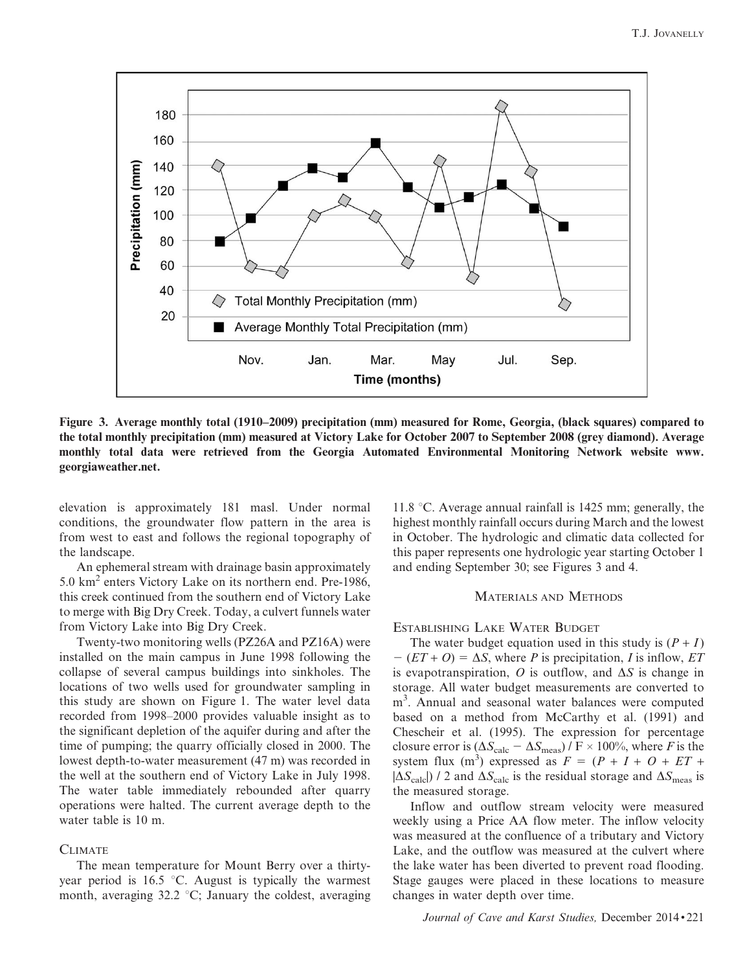

Figure 3. Average monthly total (1910–2009) precipitation (mm) measured for Rome, Georgia, (black squares) compared to the total monthly precipitation (mm) measured at Victory Lake for October 2007 to September 2008 (grey diamond). Average monthly total data were retrieved from the Georgia Automated Environmental Monitoring Network website www. georgiaweather.net.

elevation is approximately 181 masl. Under normal conditions, the groundwater flow pattern in the area is from west to east and follows the regional topography of the landscape.

An ephemeral stream with drainage basin approximately 5.0 km<sup>2</sup> enters Victory Lake on its northern end. Pre-1986, this creek continued from the southern end of Victory Lake to merge with Big Dry Creek. Today, a culvert funnels water from Victory Lake into Big Dry Creek.

Twenty-two monitoring wells (PZ26A and PZ16A) were installed on the main campus in June 1998 following the collapse of several campus buildings into sinkholes. The locations of two wells used for groundwater sampling in this study are shown on Figure 1. The water level data recorded from 1998–2000 provides valuable insight as to the significant depletion of the aquifer during and after the time of pumping; the quarry officially closed in 2000. The lowest depth-to-water measurement (47 m) was recorded in the well at the southern end of Victory Lake in July 1998. The water table immediately rebounded after quarry operations were halted. The current average depth to the water table is 10 m.

#### **CLIMATE**

The mean temperature for Mount Berry over a thirtyyear period is  $16.5$  °C. August is typically the warmest month, averaging  $32.2 \text{ °C}$ ; January the coldest, averaging 11.8  $\degree$ C. Average annual rainfall is 1425 mm; generally, the highest monthly rainfall occurs during March and the lowest in October. The hydrologic and climatic data collected for this paper represents one hydrologic year starting October 1 and ending September 30; see Figures 3 and 4.

## MATERIALS AND METHODS

ESTABLISHING LAKE WATER BUDGET

The water budget equation used in this study is  $(P + I)$  $-(ET + O) = \Delta S$ , where P is precipitation, I is inflow, ET is evapotranspiration, O is outflow, and  $\Delta S$  is change in storage. All water budget measurements are converted to m<sup>3</sup>. Annual and seasonal water balances were computed based on a method from McCarthy et al. (1991) and Chescheir et al. (1995). The expression for percentage closure error is  $(\Delta S_{\text{calc}} - \Delta S_{\text{meas}})/F \times 100\%$ , where F is the system flux (m<sup>3</sup>) expressed as  $F = (P + I + O + ET +$  $|\Delta S_{\text{calc}}|$ ) / 2 and  $\Delta S_{\text{calc}}$  is the residual storage and  $\Delta S_{\text{meas}}$  is the measured storage.

Inflow and outflow stream velocity were measured weekly using a Price AA flow meter. The inflow velocity was measured at the confluence of a tributary and Victory Lake, and the outflow was measured at the culvert where the lake water has been diverted to prevent road flooding. Stage gauges were placed in these locations to measure changes in water depth over time.

Journal of Cave and Karst Studies, December 2014 • 221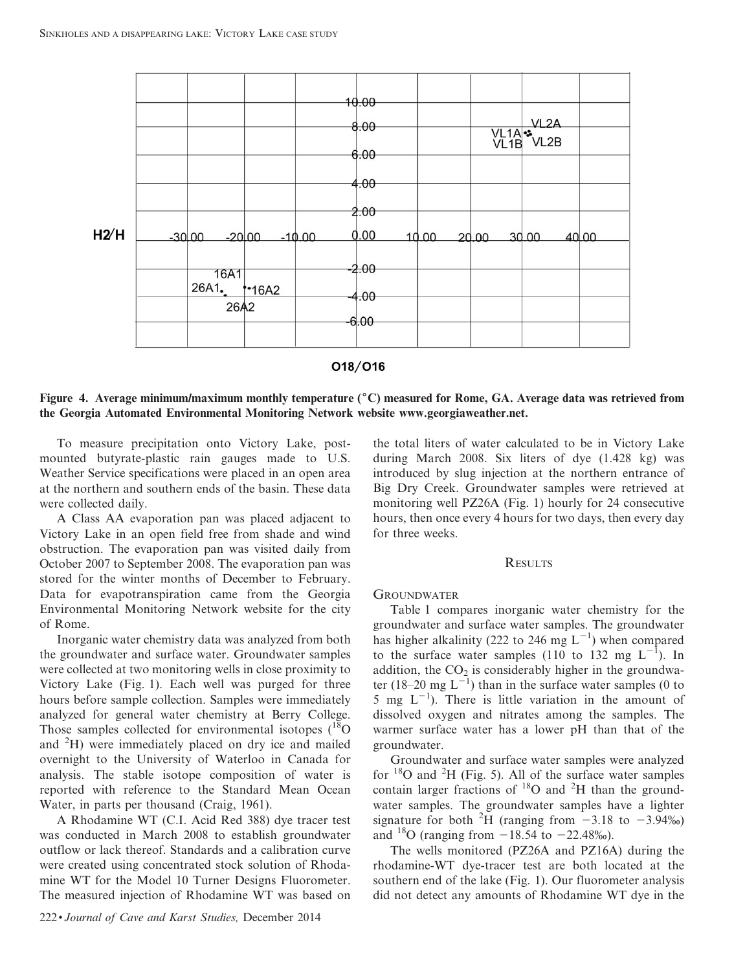

### 018/016

Figure 4. Average minimum/maximum monthly temperature  $\binom{6}{x}$  measured for Rome, GA. Average data was retrieved from the Georgia Automated Environmental Monitoring Network website www.georgiaweather.net.

To measure precipitation onto Victory Lake, postmounted butyrate-plastic rain gauges made to U.S. Weather Service specifications were placed in an open area at the northern and southern ends of the basin. These data were collected daily.

A Class AA evaporation pan was placed adjacent to Victory Lake in an open field free from shade and wind obstruction. The evaporation pan was visited daily from October 2007 to September 2008. The evaporation pan was stored for the winter months of December to February. Data for evapotranspiration came from the Georgia Environmental Monitoring Network website for the city of Rome.

Inorganic water chemistry data was analyzed from both the groundwater and surface water. Groundwater samples were collected at two monitoring wells in close proximity to Victory Lake (Fig. 1). Each well was purged for three hours before sample collection. Samples were immediately analyzed for general water chemistry at Berry College. Those samples collected for environmental isotopes  $(^{18}O)$ and <sup>2</sup> H) were immediately placed on dry ice and mailed overnight to the University of Waterloo in Canada for analysis. The stable isotope composition of water is reported with reference to the Standard Mean Ocean Water, in parts per thousand (Craig, 1961).

A Rhodamine WT (C.I. Acid Red 388) dye tracer test was conducted in March 2008 to establish groundwater outflow or lack thereof. Standards and a calibration curve were created using concentrated stock solution of Rhodamine WT for the Model 10 Turner Designs Fluorometer. The measured injection of Rhodamine WT was based on the total liters of water calculated to be in Victory Lake during March 2008. Six liters of dye (1.428 kg) was introduced by slug injection at the northern entrance of Big Dry Creek. Groundwater samples were retrieved at monitoring well PZ26A (Fig. 1) hourly for 24 consecutive hours, then once every 4 hours for two days, then every day for three weeks.

#### **RESULTS**

#### **GROUNDWATER**

Table 1 compares inorganic water chemistry for the groundwater and surface water samples. The groundwater has higher alkalinity (222 to 246 mg  $L^{-1}$ ) when compared to the surface water samples (110 to 132 mg  $L^{-1}$ ). In addition, the  $CO<sub>2</sub>$  is considerably higher in the groundwater (18–20 mg  $L^{-1}$ ) than in the surface water samples (0 to 5 mg  $L^{-1}$ ). There is little variation in the amount of dissolved oxygen and nitrates among the samples. The warmer surface water has a lower pH than that of the groundwater.

Groundwater and surface water samples were analyzed for  $18$ O and  $2$ H (Fig. 5). All of the surface water samples contain larger fractions of  ${}^{18}O$  and  ${}^{2}H$  than the groundwater samples. The groundwater samples have a lighter signature for both <sup>2</sup>H (ranging from  $-3.18$  to  $-3.94\%$ ) and <sup>18</sup>O (ranging from  $-18.54$  to  $-22.48%$ ).

The wells monitored (PZ26A and PZ16A) during the rhodamine-WT dye-tracer test are both located at the southern end of the lake (Fig. 1). Our fluorometer analysis did not detect any amounts of Rhodamine WT dye in the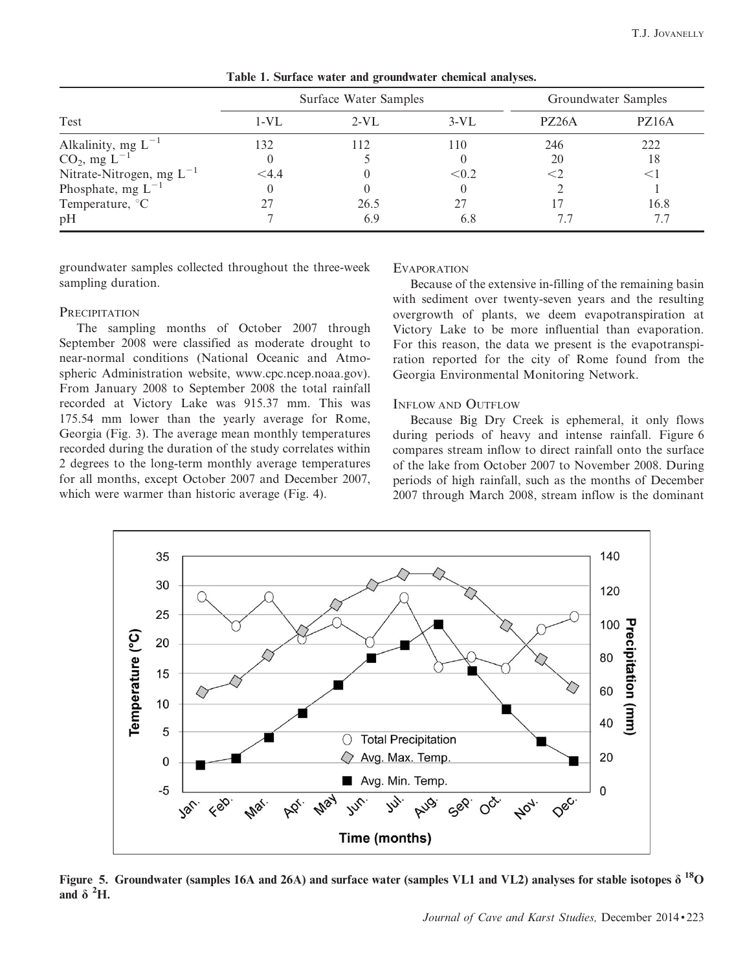|                                                          | Surface Water Samples |        |        | Groundwater Samples |                    |
|----------------------------------------------------------|-----------------------|--------|--------|---------------------|--------------------|
| Test                                                     | 1-VL                  | $2-VL$ | $3-VL$ | PZ <sub>26</sub> A  | PZ <sub>16</sub> A |
|                                                          | 132                   |        | 110    | 246                 | 222                |
| Alkalinity, mg $L^{-1}$<br>CO <sub>2</sub> , mg $L^{-1}$ |                       |        |        | 20                  | 18                 |
| Nitrate-Nitrogen, mg $L^{-1}$                            | $<$ 4.4               |        | < 0.2  |                     |                    |
| Phosphate, mg $L^{-1}$                                   |                       |        |        |                     |                    |
| Temperature, <sup>°</sup> C                              |                       | 26.5   | 27     |                     | 16.8               |
| pH                                                       |                       | 6.9    | 6.8    |                     | 7.7                |

Table 1. Surface water and groundwater chemical analyses.

groundwater samples collected throughout the three-week sampling duration.

### **PRECIPITATION**

The sampling months of October 2007 through September 2008 were classified as moderate drought to near-normal conditions (National Oceanic and Atmospheric Administration website, www.cpc.ncep.noaa.gov). From January 2008 to September 2008 the total rainfall recorded at Victory Lake was 915.37 mm. This was 175.54 mm lower than the yearly average for Rome, Georgia (Fig. 3). The average mean monthly temperatures recorded during the duration of the study correlates within 2 degrees to the long-term monthly average temperatures for all months, except October 2007 and December 2007, which were warmer than historic average (Fig. 4).

#### **EVAPORATION**

Because of the extensive in-filling of the remaining basin with sediment over twenty-seven years and the resulting overgrowth of plants, we deem evapotranspiration at Victory Lake to be more influential than evaporation. For this reason, the data we present is the evapotranspiration reported for the city of Rome found from the Georgia Environmental Monitoring Network.

## INFLOW AND OUTFLOW

Because Big Dry Creek is ephemeral, it only flows during periods of heavy and intense rainfall. Figure 6 compares stream inflow to direct rainfall onto the surface of the lake from October 2007 to November 2008. During periods of high rainfall, such as the months of December 2007 through March 2008, stream inflow is the dominant



Figure 5. Groundwater (samples 16A and 26A) and surface water (samples VL1 and VL2) analyses for stable isotopes  $\delta^{18}O$ and  $\delta$  <sup>2</sup>H.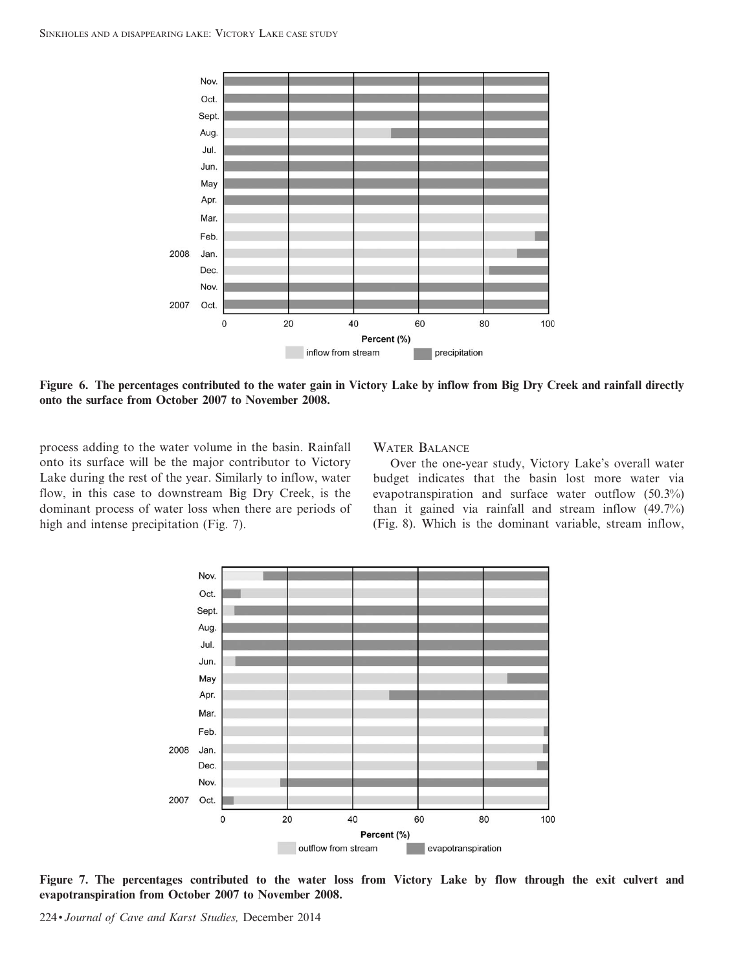

Figure 6. The percentages contributed to the water gain in Victory Lake by inflow from Big Dry Creek and rainfall directly onto the surface from October 2007 to November 2008.

process adding to the water volume in the basin. Rainfall onto its surface will be the major contributor to Victory Lake during the rest of the year. Similarly to inflow, water flow, in this case to downstream Big Dry Creek, is the dominant process of water loss when there are periods of high and intense precipitation (Fig. 7).

## WATER BALANCE

Over the one-year study, Victory Lake's overall water budget indicates that the basin lost more water via evapotranspiration and surface water outflow (50.3%) than it gained via rainfall and stream inflow (49.7%) (Fig. 8). Which is the dominant variable, stream inflow,



Figure 7. The percentages contributed to the water loss from Victory Lake by flow through the exit culvert and evapotranspiration from October 2007 to November 2008.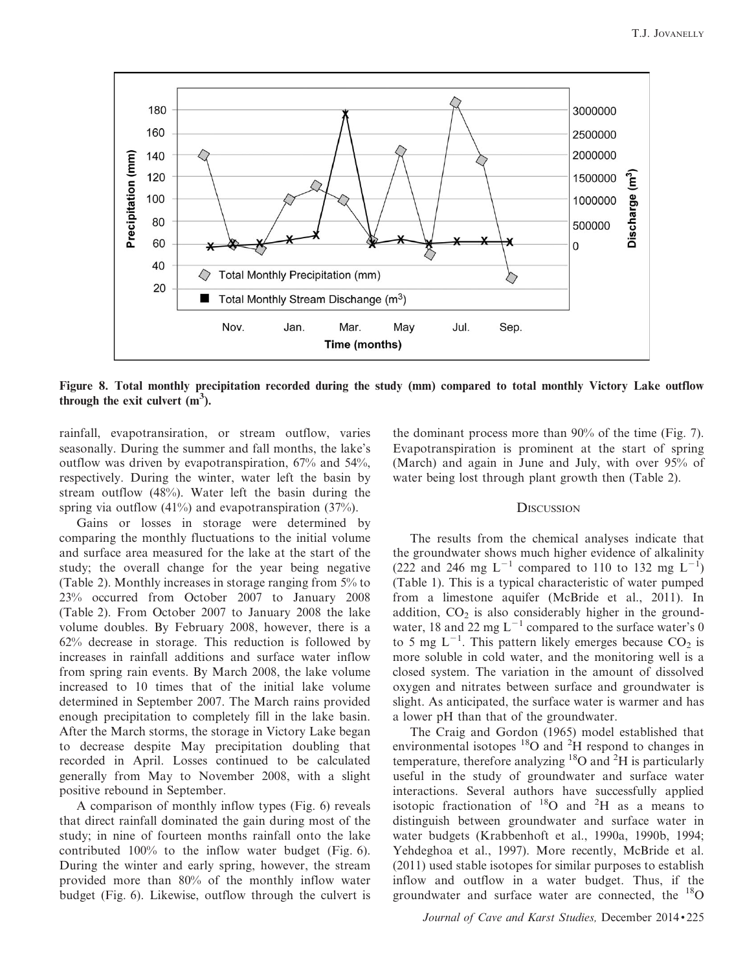

Figure 8. Total monthly precipitation recorded during the study (mm) compared to total monthly Victory Lake outflow through the exit culvert  $(m<sup>3</sup>)$ .

rainfall, evapotransiration, or stream outflow, varies seasonally. During the summer and fall months, the lake's outflow was driven by evapotranspiration, 67% and 54%, respectively. During the winter, water left the basin by stream outflow (48%). Water left the basin during the spring via outflow  $(41\%)$  and evapotranspiration  $(37\%).$ 

Gains or losses in storage were determined by comparing the monthly fluctuations to the initial volume and surface area measured for the lake at the start of the study; the overall change for the year being negative (Table 2). Monthly increases in storage ranging from 5% to 23% occurred from October 2007 to January 2008 (Table 2). From October 2007 to January 2008 the lake volume doubles. By February 2008, however, there is a 62% decrease in storage. This reduction is followed by increases in rainfall additions and surface water inflow from spring rain events. By March 2008, the lake volume increased to 10 times that of the initial lake volume determined in September 2007. The March rains provided enough precipitation to completely fill in the lake basin. After the March storms, the storage in Victory Lake began to decrease despite May precipitation doubling that recorded in April. Losses continued to be calculated generally from May to November 2008, with a slight positive rebound in September.

A comparison of monthly inflow types (Fig. 6) reveals that direct rainfall dominated the gain during most of the study; in nine of fourteen months rainfall onto the lake contributed 100% to the inflow water budget (Fig. 6). During the winter and early spring, however, the stream provided more than 80% of the monthly inflow water budget (Fig. 6). Likewise, outflow through the culvert is the dominant process more than 90% of the time (Fig. 7). Evapotranspiration is prominent at the start of spring (March) and again in June and July, with over 95% of water being lost through plant growth then (Table 2).

## **DISCUSSION**

The results from the chemical analyses indicate that the groundwater shows much higher evidence of alkalinity (222 and 246 mg  $L^{-1}$  compared to 110 to 132 mg  $L^{-1}$ ) (Table 1). This is a typical characteristic of water pumped from a limestone aquifer (McBride et al., 2011). In addition,  $CO<sub>2</sub>$  is also considerably higher in the groundwater, 18 and 22 mg  $L^{-1}$  compared to the surface water's 0 to 5 mg  $L^{-1}$ . This pattern likely emerges because  $CO_2$  is more soluble in cold water, and the monitoring well is a closed system. The variation in the amount of dissolved oxygen and nitrates between surface and groundwater is slight. As anticipated, the surface water is warmer and has a lower pH than that of the groundwater.

The Craig and Gordon (1965) model established that environmental isotopes  ${}^{18}O$  and  ${}^{2}H$  respond to changes in temperature, therefore analyzing  ${}^{18}O$  and  ${}^{2}H$  is particularly useful in the study of groundwater and surface water interactions. Several authors have successfully applied isotopic fractionation of  $^{18}$ O and  $^{2}$ H as a means to distinguish between groundwater and surface water in water budgets (Krabbenhoft et al., 1990a, 1990b, 1994; Yehdeghoa et al., 1997). More recently, McBride et al. (2011) used stable isotopes for similar purposes to establish inflow and outflow in a water budget. Thus, if the groundwater and surface water are connected, the  $^{18}$ O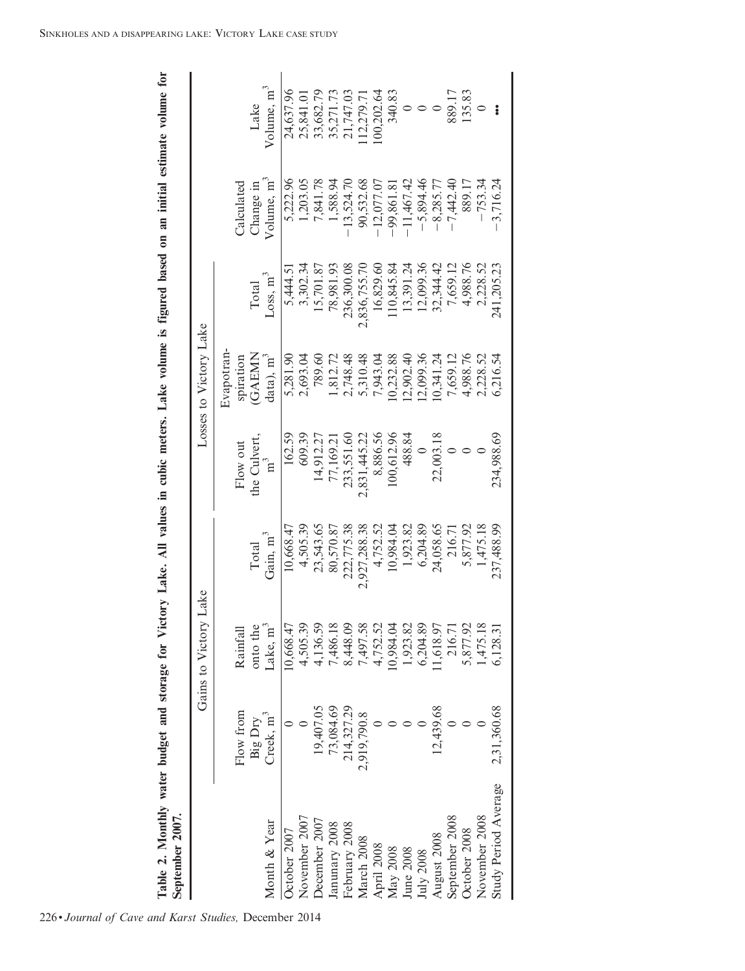| ₿                       |   |
|-------------------------|---|
|                         |   |
|                         |   |
|                         |   |
|                         |   |
|                         |   |
|                         |   |
|                         |   |
|                         |   |
|                         |   |
|                         |   |
|                         |   |
| l<br>i                  |   |
|                         |   |
|                         |   |
| Í                       |   |
|                         |   |
|                         |   |
|                         |   |
| ì                       |   |
| Ĭ<br>ior<br>C<br>ć      |   |
| D<br>rowar<br>i         |   |
| et and st               |   |
| ١                       |   |
| ly water budge          |   |
|                         | t |
| i<br>٦                  | Š |
| i<br>S<br>$\frac{1}{2}$ |   |

| <b>September 2007</b> |                                  |                       |                      |                     |                                |                               |                                     |                                |
|-----------------------|----------------------------------|-----------------------|----------------------|---------------------|--------------------------------|-------------------------------|-------------------------------------|--------------------------------|
|                       |                                  | Gains to Victory Lake |                      |                     | Losses to Victory Lake         |                               |                                     |                                |
|                       | Flow from                        | Rainfall              |                      | Flow out            | Evapotran-<br>spiration        |                               | Calculated                          |                                |
| Month & Year          | Creek, m <sup>3</sup><br>Big Dry | onto the<br>Lake, m   | Gain, $m^3$<br>Total | he Culvert<br>$m^3$ | <b>GAEMN</b><br>$data$ ), $m3$ | Loss, m <sup>3</sup><br>Total | Volume, m <sup>3</sup><br>Change in | Volume, m <sup>3</sup><br>Lake |
| October 2007          |                                  | 10,668.4              | 10,668.47            | 162.59              | 5,281.90                       | 5,444.5                       | 5,222.96                            | 24,637.96                      |
| November 2007         |                                  | 4,505.3               | 4,505.39             | 609.39              | 2,693.04                       | 3,302.34                      | 1,203.05                            | 25,841.0                       |
| December 2007         | 19,407.05                        | 4,136.5               | 23,543.65            | 14,912.27           | 789.60                         | 15,701.87                     | 7,841.78                            | 33,682.79                      |
| Janunary 2008         | 73,084.69                        | 7,486.18              | 80,570.87            | 77,169.21           | 1,812.72                       | 78,981.93                     | 1,588.94                            | 35,271.73                      |
| February 2008         | 214,327.29                       | 8,448.09              | 222,775.38           | 233,551.60          | 2,748.48                       | 236,300.08                    | $-13,524.70$                        | 21,747.03                      |
| March 2008            | 2,919,790.8                      | 7,497.58              | 2,927,288.38         | 2,831,445.22        | 5,310.48                       | 2,836,755.70                  | 90,532.68                           | 12,279.7                       |
| April 2008            |                                  | 4,752.5               | 4,752.52             | 8,886.56            | 7,943.04                       | 16,829.60                     | 12,077.07                           | 00,202.64                      |
| May 2008              |                                  | 10,984.0              | 10,984.04            | 100,612.96          | 0,232.88                       | 10,845.84                     | 99,861.81                           | 340.83                         |
| June 2008             |                                  | 1,923.8               | 1,923.82             | 488.84              | 2,902.40                       | 13,391.24                     | $-11,467.42$                        |                                |
| July 2008             |                                  | 6,204.8               | 6,204.89             | $\circ$             | 2,099.36                       | 12,099.36                     | $-5,894.46$                         |                                |
| August 2008           | 12,439.68                        | 1,618.9               | 24,058.65            | 22,003.18           | 0,341.24                       | 32,344.42                     | $-8,285.77$                         |                                |
| September 2008        |                                  | 216.71                | 216.71               |                     | 7,659.12                       | 7,659.12                      | $-7,442.40$                         | 889.17                         |
| October 2008          |                                  | 5,877.92              | 5,877.92             |                     | 4,988.76                       | 4,988.76                      | 889.17                              | 135.83                         |
| November 2008         |                                  | 1,475.18              | 1,475.18             |                     | 2,228.52                       | 2,228.52                      | $-753.34$                           |                                |
| Study Period Average  | 2,31,360.68                      | 6,128.3               | 237,488.99           | 234,988.69          | 6,216.54                       | 241,205.23                    | 3,716.24                            | $\ddot{\bullet}$               |
|                       |                                  |                       |                      |                     |                                |                               |                                     |                                |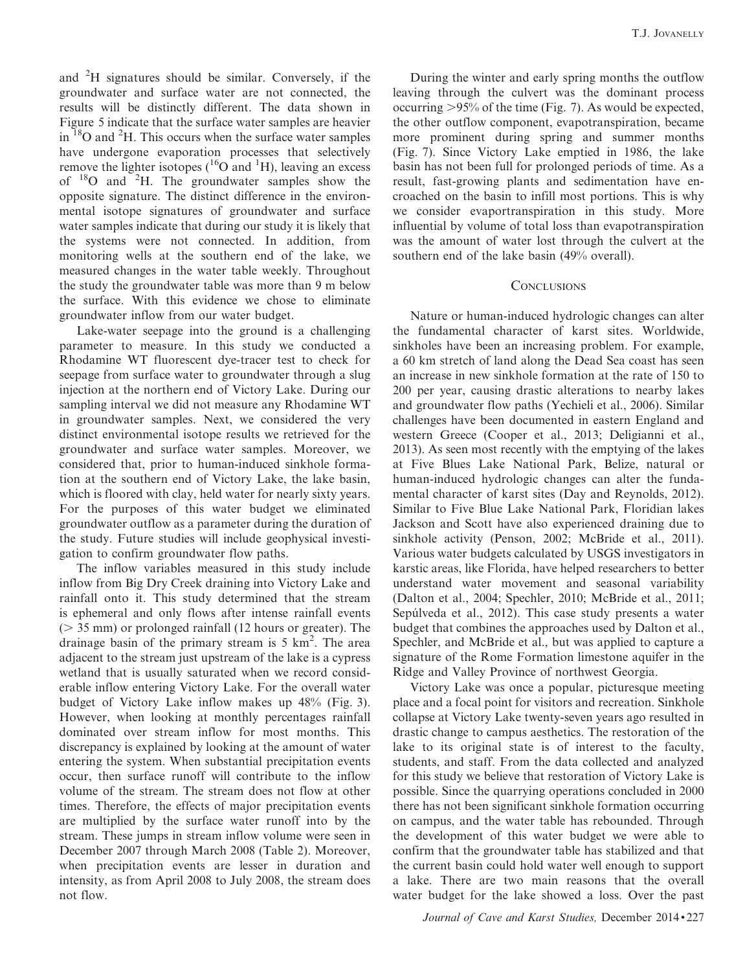and <sup>2</sup>H signatures should be similar. Conversely, if the groundwater and surface water are not connected, the results will be distinctly different. The data shown in Figure 5 indicate that the surface water samples are heavier in  ${}^{18}$ O and  ${}^{2}$ H. This occurs when the surface water samples have undergone evaporation processes that selectively remove the lighter isotopes ( ${}^{16}O$  and  ${}^{1}H$ ), leaving an excess of <sup>18</sup>O and <sup>2</sup>H. The groundwater samples show the opposite signature. The distinct difference in the environmental isotope signatures of groundwater and surface water samples indicate that during our study it is likely that the systems were not connected. In addition, from monitoring wells at the southern end of the lake, we measured changes in the water table weekly. Throughout the study the groundwater table was more than 9 m below the surface. With this evidence we chose to eliminate groundwater inflow from our water budget.

Lake-water seepage into the ground is a challenging parameter to measure. In this study we conducted a Rhodamine WT fluorescent dye-tracer test to check for seepage from surface water to groundwater through a slug injection at the northern end of Victory Lake. During our sampling interval we did not measure any Rhodamine WT in groundwater samples. Next, we considered the very distinct environmental isotope results we retrieved for the groundwater and surface water samples. Moreover, we considered that, prior to human-induced sinkhole formation at the southern end of Victory Lake, the lake basin, which is floored with clay, held water for nearly sixty years. For the purposes of this water budget we eliminated groundwater outflow as a parameter during the duration of the study. Future studies will include geophysical investigation to confirm groundwater flow paths.

The inflow variables measured in this study include inflow from Big Dry Creek draining into Victory Lake and rainfall onto it. This study determined that the stream is ephemeral and only flows after intense rainfall events  $($  > 35 mm) or prolonged rainfall (12 hours or greater). The drainage basin of the primary stream is  $5 \text{ km}^2$ . The area adjacent to the stream just upstream of the lake is a cypress wetland that is usually saturated when we record considerable inflow entering Victory Lake. For the overall water budget of Victory Lake inflow makes up 48% (Fig. 3). However, when looking at monthly percentages rainfall dominated over stream inflow for most months. This discrepancy is explained by looking at the amount of water entering the system. When substantial precipitation events occur, then surface runoff will contribute to the inflow volume of the stream. The stream does not flow at other times. Therefore, the effects of major precipitation events are multiplied by the surface water runoff into by the stream. These jumps in stream inflow volume were seen in December 2007 through March 2008 (Table 2). Moreover, when precipitation events are lesser in duration and intensity, as from April 2008 to July 2008, the stream does not flow.

During the winter and early spring months the outflow leaving through the culvert was the dominant process occurring  $>95\%$  of the time (Fig. 7). As would be expected, the other outflow component, evapotranspiration, became more prominent during spring and summer months (Fig. 7). Since Victory Lake emptied in 1986, the lake basin has not been full for prolonged periods of time. As a result, fast-growing plants and sedimentation have encroached on the basin to infill most portions. This is why we consider evaportranspiration in this study. More influential by volume of total loss than evapotranspiration was the amount of water lost through the culvert at the southern end of the lake basin (49% overall).

## **CONCLUSIONS**

Nature or human-induced hydrologic changes can alter the fundamental character of karst sites. Worldwide, sinkholes have been an increasing problem. For example, a 60 km stretch of land along the Dead Sea coast has seen an increase in new sinkhole formation at the rate of 150 to 200 per year, causing drastic alterations to nearby lakes and groundwater flow paths (Yechieli et al., 2006). Similar challenges have been documented in eastern England and western Greece (Cooper et al., 2013; Deligianni et al., 2013). As seen most recently with the emptying of the lakes at Five Blues Lake National Park, Belize, natural or human-induced hydrologic changes can alter the fundamental character of karst sites (Day and Reynolds, 2012). Similar to Five Blue Lake National Park, Floridian lakes Jackson and Scott have also experienced draining due to sinkhole activity (Penson, 2002; McBride et al., 2011). Various water budgets calculated by USGS investigators in karstic areas, like Florida, have helped researchers to better understand water movement and seasonal variability (Dalton et al., 2004; Spechler, 2010; McBride et al., 2011; Sepúlveda et al., 2012). This case study presents a water budget that combines the approaches used by Dalton et al., Spechler, and McBride et al., but was applied to capture a signature of the Rome Formation limestone aquifer in the Ridge and Valley Province of northwest Georgia.

Victory Lake was once a popular, picturesque meeting place and a focal point for visitors and recreation. Sinkhole collapse at Victory Lake twenty-seven years ago resulted in drastic change to campus aesthetics. The restoration of the lake to its original state is of interest to the faculty, students, and staff. From the data collected and analyzed for this study we believe that restoration of Victory Lake is possible. Since the quarrying operations concluded in 2000 there has not been significant sinkhole formation occurring on campus, and the water table has rebounded. Through the development of this water budget we were able to confirm that the groundwater table has stabilized and that the current basin could hold water well enough to support a lake. There are two main reasons that the overall water budget for the lake showed a loss. Over the past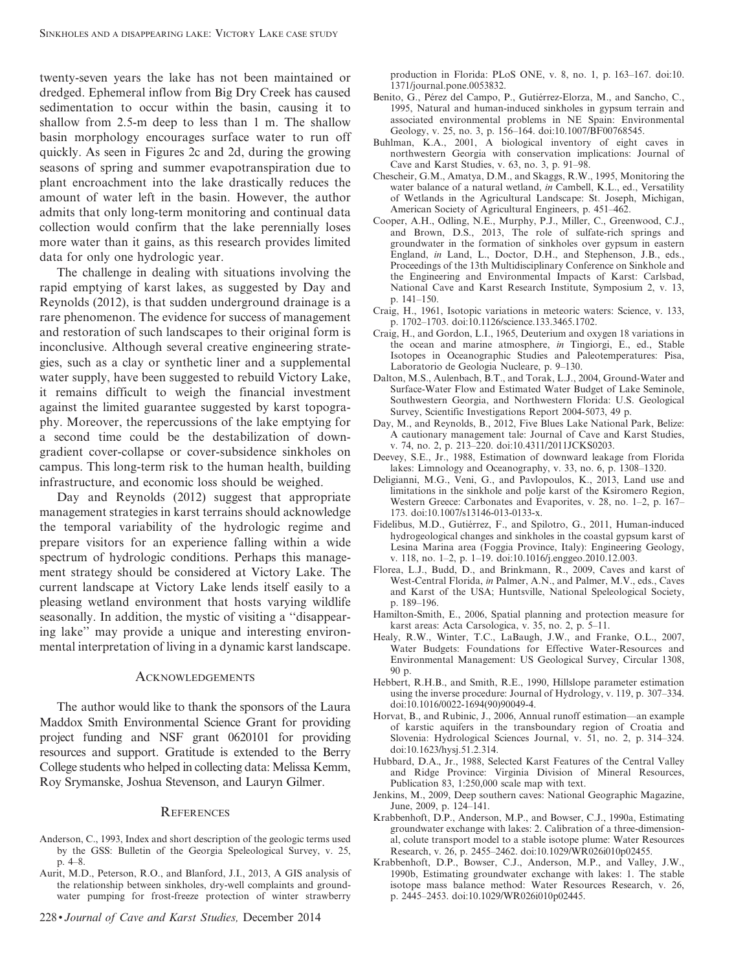twenty-seven years the lake has not been maintained or dredged. Ephemeral inflow from Big Dry Creek has caused sedimentation to occur within the basin, causing it to shallow from 2.5-m deep to less than 1 m. The shallow basin morphology encourages surface water to run off quickly. As seen in Figures 2c and 2d, during the growing seasons of spring and summer evapotranspiration due to plant encroachment into the lake drastically reduces the amount of water left in the basin. However, the author admits that only long-term monitoring and continual data collection would confirm that the lake perennially loses more water than it gains, as this research provides limited data for only one hydrologic year.

The challenge in dealing with situations involving the rapid emptying of karst lakes, as suggested by Day and Reynolds (2012), is that sudden underground drainage is a rare phenomenon. The evidence for success of management and restoration of such landscapes to their original form is inconclusive. Although several creative engineering strategies, such as a clay or synthetic liner and a supplemental water supply, have been suggested to rebuild Victory Lake, it remains difficult to weigh the financial investment against the limited guarantee suggested by karst topography. Moreover, the repercussions of the lake emptying for a second time could be the destabilization of downgradient cover-collapse or cover-subsidence sinkholes on campus. This long-term risk to the human health, building infrastructure, and economic loss should be weighed.

Day and Reynolds (2012) suggest that appropriate management strategies in karst terrains should acknowledge the temporal variability of the hydrologic regime and prepare visitors for an experience falling within a wide spectrum of hydrologic conditions. Perhaps this management strategy should be considered at Victory Lake. The current landscape at Victory Lake lends itself easily to a pleasing wetland environment that hosts varying wildlife seasonally. In addition, the mystic of visiting a ''disappearing lake'' may provide a unique and interesting environmental interpretation of living in a dynamic karst landscape.

#### **ACKNOWLEDGEMENTS**

The author would like to thank the sponsors of the Laura Maddox Smith Environmental Science Grant for providing project funding and NSF grant 0620101 for providing resources and support. Gratitude is extended to the Berry College students who helped in collecting data: Melissa Kemm, Roy Srymanske, Joshua Stevenson, and Lauryn Gilmer.

#### **REFERENCES**

- Anderson, C., 1993, Index and short description of the geologic terms used by the GSS: Bulletin of the Georgia Speleological Survey, v. 25, p. 4–8.
- Aurit, M.D., Peterson, R.O., and Blanford, J.I., 2013, A GIS analysis of the relationship between sinkholes, dry-well complaints and groundwater pumping for frost-freeze protection of winter strawberry

production in Florida: PLoS ONE, v. 8, no. 1, p. 163–167. doi:10. 1371/journal.pone.0053832.

- Benito, G., Pérez del Campo, P., Gutiérrez-Elorza, M., and Sancho, C., 1995, Natural and human-induced sinkholes in gypsum terrain and associated environmental problems in NE Spain: Environmental Geology, v. 25, no. 3, p. 156–164. doi:10.1007/BF00768545.
- Buhlman, K.A., 2001, A biological inventory of eight caves in northwestern Georgia with conservation implications: Journal of Cave and Karst Studies, v. 63, no. 3, p. 91–98.
- Chescheir, G.M., Amatya, D.M., and Skaggs, R.W., 1995, Monitoring the water balance of a natural wetland, in Cambell, K.L., ed., Versatility of Wetlands in the Agricultural Landscape: St. Joseph, Michigan, American Society of Agricultural Engineers, p. 451–462.
- Cooper, A.H., Odling, N.E., Murphy, P.J., Miller, C., Greenwood, C.J., and Brown, D.S., 2013, The role of sulfate-rich springs and groundwater in the formation of sinkholes over gypsum in eastern England, in Land, L., Doctor, D.H., and Stephenson, J.B., eds., Proceedings of the 13th Multidisciplinary Conference on Sinkhole and the Engineering and Environmental Impacts of Karst: Carlsbad, National Cave and Karst Research Institute, Symposium 2, v. 13, p. 141–150.
- Craig, H., 1961, Isotopic variations in meteoric waters: Science, v. 133, p. 1702–1703. doi:10.1126/science.133.3465.1702.
- Craig, H., and Gordon, L.I., 1965, Deuterium and oxygen 18 variations in the ocean and marine atmosphere, in Tingiorgi, E., ed., Stable Isotopes in Oceanographic Studies and Paleotemperatures: Pisa, Laboratorio de Geologia Nucleare, p. 9–130.
- Dalton, M.S., Aulenbach, B.T., and Torak, L.J., 2004, Ground-Water and Surface-Water Flow and Estimated Water Budget of Lake Seminole, Southwestern Georgia, and Northwestern Florida: U.S. Geological Survey, Scientific Investigations Report 2004-5073, 49 p.
- Day, M., and Reynolds, B., 2012, Five Blues Lake National Park, Belize: A cautionary management tale: Journal of Cave and Karst Studies, v. 74, no. 2, p. 213–220. doi:10.4311/2011JCKS0203.
- Deevey, S.E., Jr., 1988, Estimation of downward leakage from Florida lakes: Limnology and Oceanography, v. 33, no. 6, p. 1308–1320.
- Deligianni, M.G., Veni, G., and Pavlopoulos, K., 2013, Land use and limitations in the sinkhole and polje karst of the Ksiromero Region, Western Greece: Carbonates and Evaporites, v. 28, no. 1–2, p. 167– 173. doi:10.1007/s13146-013-0133-x.
- Fidelibus, M.D., Gutiérrez, F., and Spilotro, G., 2011, Human-induced hydrogeological changes and sinkholes in the coastal gypsum karst of Lesina Marina area (Foggia Province, Italy): Engineering Geology, v. 118, no. 1–2, p. 1–19. doi:10.1016/j.enggeo.2010.12.003.
- Florea, L.J., Budd, D., and Brinkmann, R., 2009, Caves and karst of West-Central Florida, in Palmer, A.N., and Palmer, M.V., eds., Caves and Karst of the USA; Huntsville, National Speleological Society, p. 189–196.
- Hamilton-Smith, E., 2006, Spatial planning and protection measure for karst areas: Acta Carsologica, v. 35, no. 2, p. 5–11.
- Healy, R.W., Winter, T.C., LaBaugh, J.W., and Franke, O.L., 2007, Water Budgets: Foundations for Effective Water-Resources and Environmental Management: US Geological Survey, Circular 1308, 90 p.
- Hebbert, R.H.B., and Smith, R.E., 1990, Hillslope parameter estimation using the inverse procedure: Journal of Hydrology, v. 119, p. 307–334. doi:10.1016/0022-1694(90)90049-4.
- Horvat, B., and Rubinic, J., 2006, Annual runoff estimation—an example of karstic aquifers in the transboundary region of Croatia and Slovenia: Hydrological Sciences Journal, v. 51, no. 2, p. 314–324. doi:10.1623/hysj.51.2.314.
- Hubbard, D.A., Jr., 1988, Selected Karst Features of the Central Valley and Ridge Province: Virginia Division of Mineral Resources, Publication 83, 1:250,000 scale map with text.
- Jenkins, M., 2009, Deep southern caves: National Geographic Magazine, June, 2009, p. 124–141.
- Krabbenhoft, D.P., Anderson, M.P., and Bowser, C.J., 1990a, Estimating groundwater exchange with lakes: 2. Calibration of a three-dimensional, colute transport model to a stable isotope plume: Water Resources Research, v. 26, p. 2455–2462. doi:10.1029/WR026i010p02455.
- Krabbenhoft, D.P., Bowser, C.J., Anderson, M.P., and Valley, J.W., 1990b, Estimating groundwater exchange with lakes: 1. The stable isotope mass balance method: Water Resources Research, v. 26, p. 2445–2453. doi:10.1029/WR026i010p02445.